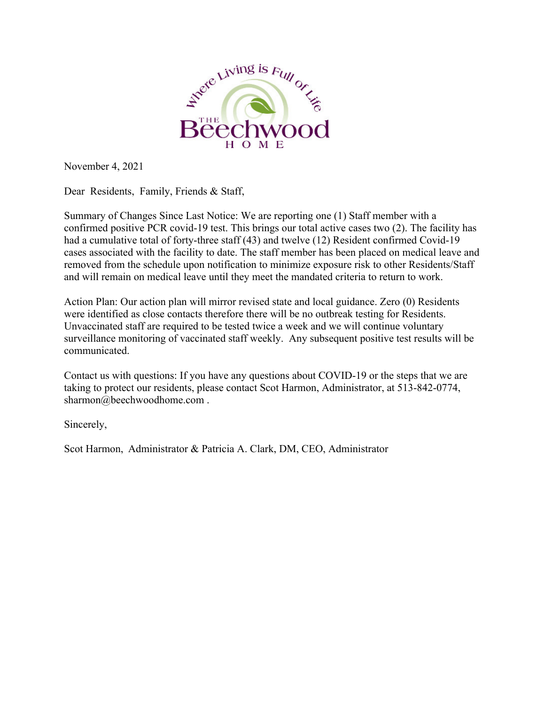

November 4, 2021

Dear Residents, Family, Friends & Staff,

Summary of Changes Since Last Notice: We are reporting one (1) Staff member with a confirmed positive PCR covid-19 test. This brings our total active cases two (2). The facility has had a cumulative total of forty-three staff (43) and twelve (12) Resident confirmed Covid-19 cases associated with the facility to date. The staff member has been placed on medical leave and removed from the schedule upon notification to minimize exposure risk to other Residents/Staff and will remain on medical leave until they meet the mandated criteria to return to work.

Action Plan: Our action plan will mirror revised state and local guidance. Zero (0) Residents were identified as close contacts therefore there will be no outbreak testing for Residents. Unvaccinated staff are required to be tested twice a week and we will continue voluntary surveillance monitoring of vaccinated staff weekly. Any subsequent positive test results will be communicated.

Contact us with questions: If you have any questions about COVID-19 or the steps that we are taking to protect our residents, please contact Scot Harmon, Administrator, at 513-842-0774, sharmon@beechwoodhome.com .

Sincerely,

Scot Harmon, Administrator & Patricia A. Clark, DM, CEO, Administrator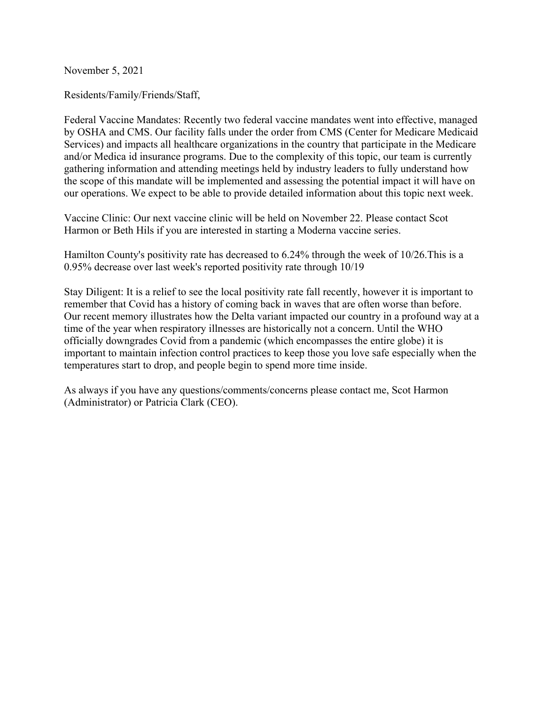November 5, 2021

Residents/Family/Friends/Staff,

Federal Vaccine Mandates: Recently two federal vaccine mandates went into effective, managed by OSHA and CMS. Our facility falls under the order from CMS (Center for Medicare Medicaid Services) and impacts all healthcare organizations in the country that participate in the Medicare and/or Medica id insurance programs. Due to the complexity of this topic, our team is currently gathering information and attending meetings held by industry leaders to fully understand how the scope of this mandate will be implemented and assessing the potential impact it will have on our operations. We expect to be able to provide detailed information about this topic next week.

Vaccine Clinic: Our next vaccine clinic will be held on November 22. Please contact Scot Harmon or Beth Hils if you are interested in starting a Moderna vaccine series.

Hamilton County's positivity rate has decreased to 6.24% through the week of 10/26.This is a 0.95% decrease over last week's reported positivity rate through 10/19

Stay Diligent: It is a relief to see the local positivity rate fall recently, however it is important to remember that Covid has a history of coming back in waves that are often worse than before. Our recent memory illustrates how the Delta variant impacted our country in a profound way at a time of the year when respiratory illnesses are historically not a concern. Until the WHO officially downgrades Covid from a pandemic (which encompasses the entire globe) it is important to maintain infection control practices to keep those you love safe especially when the temperatures start to drop, and people begin to spend more time inside.

As always if you have any questions/comments/concerns please contact me, Scot Harmon (Administrator) or Patricia Clark (CEO).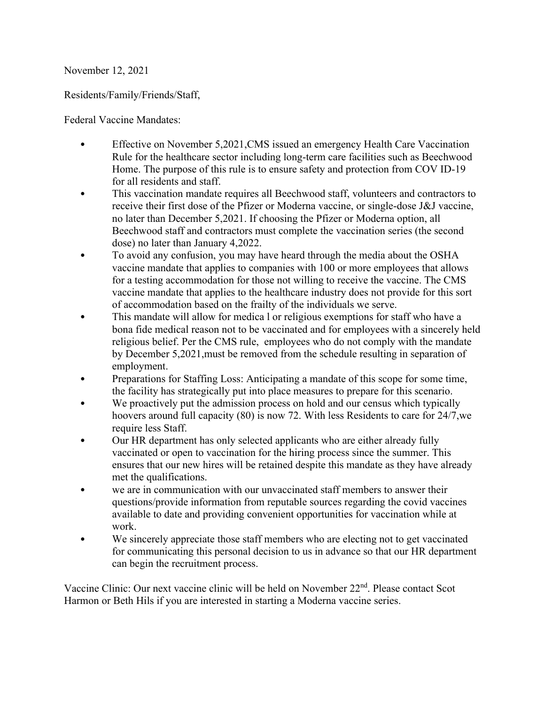## November 12, 2021

## Residents/Family/Friends/Staff,

Federal Vaccine Mandates:

- Effective on November 5,2021,CMS issued an emergency Health Care Vaccination Rule for the healthcare sector including long-term care facilities such as Beechwood Home. The purpose of this rule is to ensure safety and protection from COV ID-19 for all residents and staff.
- This vaccination mandate requires all Beechwood staff, volunteers and contractors to receive their first dose of the Pfizer or Moderna vaccine, or single-dose J&J vaccine, no later than December 5,2021. If choosing the Pfizer or Moderna option, all Beechwood staff and contractors must complete the vaccination series (the second dose) no later than January 4,2022.
- To avoid any confusion, you may have heard through the media about the OSHA vaccine mandate that applies to companies with 100 or more employees that allows for a testing accommodation for those not willing to receive the vaccine. The CMS vaccine mandate that applies to the healthcare industry does not provide for this sort of accommodation based on the frailty of the individuals we serve.
- This mandate will allow for medica l or religious exemptions for staff who have a bona fide medical reason not to be vaccinated and for employees with a sincerely held religious belief. Per the CMS rule, employees who do not comply with the mandate by December 5,2021,must be removed from the schedule resulting in separation of employment.
- Preparations for Staffing Loss: Anticipating a mandate of this scope for some time, the facility has strategically put into place measures to prepare for this scenario.
- We proactively put the admission process on hold and our census which typically hoovers around full capacity (80) is now 72. With less Residents to care for 24/7,we require less Staff.
- Our HR department has only selected applicants who are either already fully vaccinated or open to vaccination for the hiring process since the summer. This ensures that our new hires will be retained despite this mandate as they have already met the qualifications.
- we are in communication with our unvaccinated staff members to answer their questions/provide information from reputable sources regarding the covid vaccines available to date and providing convenient opportunities for vaccination while at work.
- We sincerely appreciate those staff members who are electing not to get vaccinated for communicating this personal decision to us in advance so that our HR department can begin the recruitment process.

Vaccine Clinic: Our next vaccine clinic will be held on November 22<sup>nd</sup>. Please contact Scot Harmon or Beth Hils if you are interested in starting a Moderna vaccine series.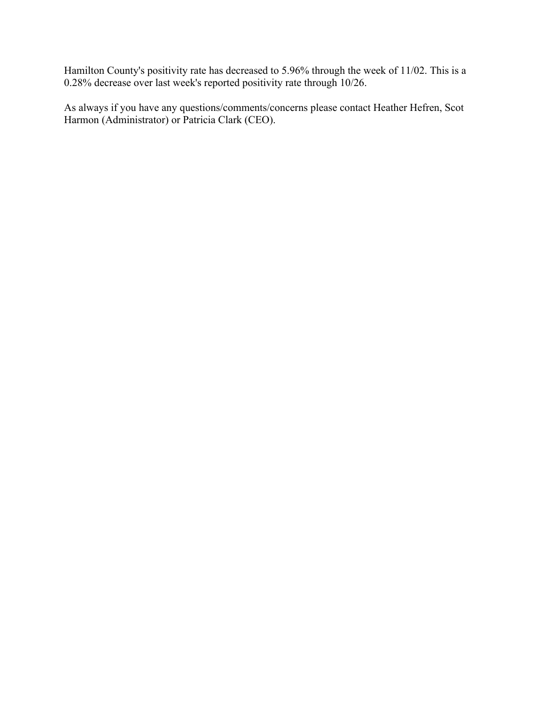Hamilton County's positivity rate has decreased to 5.96% through the week of 11/02. This is a 0.28% decrease over last week's reported positivity rate through 10/26.

As always if you have any questions/comments/concerns please contact Heather Hefren, Scot Harmon (Administrator) or Patricia Clark (CEO).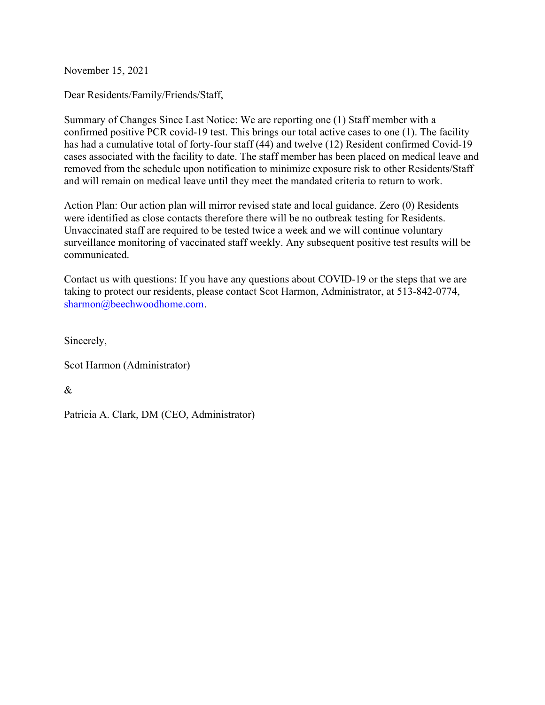November 15, 2021

Dear Residents/Family/Friends/Staff,

Summary of Changes Since Last Notice: We are reporting one (1) Staff member with a confirmed positive PCR covid-19 test. This brings our total active cases to one (1). The facility has had a cumulative total of forty-four staff (44) and twelve (12) Resident confirmed Covid-19 cases associated with the facility to date. The staff member has been placed on medical leave and removed from the schedule upon notification to minimize exposure risk to other Residents/Staff and will remain on medical leave until they meet the mandated criteria to return to work.

Action Plan: Our action plan will mirror revised state and local guidance. Zero (0) Residents were identified as close contacts therefore there will be no outbreak testing for Residents. Unvaccinated staff are required to be tested twice a week and we will continue voluntary surveillance monitoring of vaccinated staff weekly. Any subsequent positive test results will be communicated.

Contact us with questions: If you have any questions about COVID-19 or the steps that we are taking to protect our residents, please contact Scot Harmon, Administrator, at 513-842-0774, sharmon@beechwoodhome.com.

Sincerely,

Scot Harmon (Administrator)

 $\mathcal{R}_{\mathcal{L}}$ 

Patricia A. Clark, DM (CEO, Administrator)